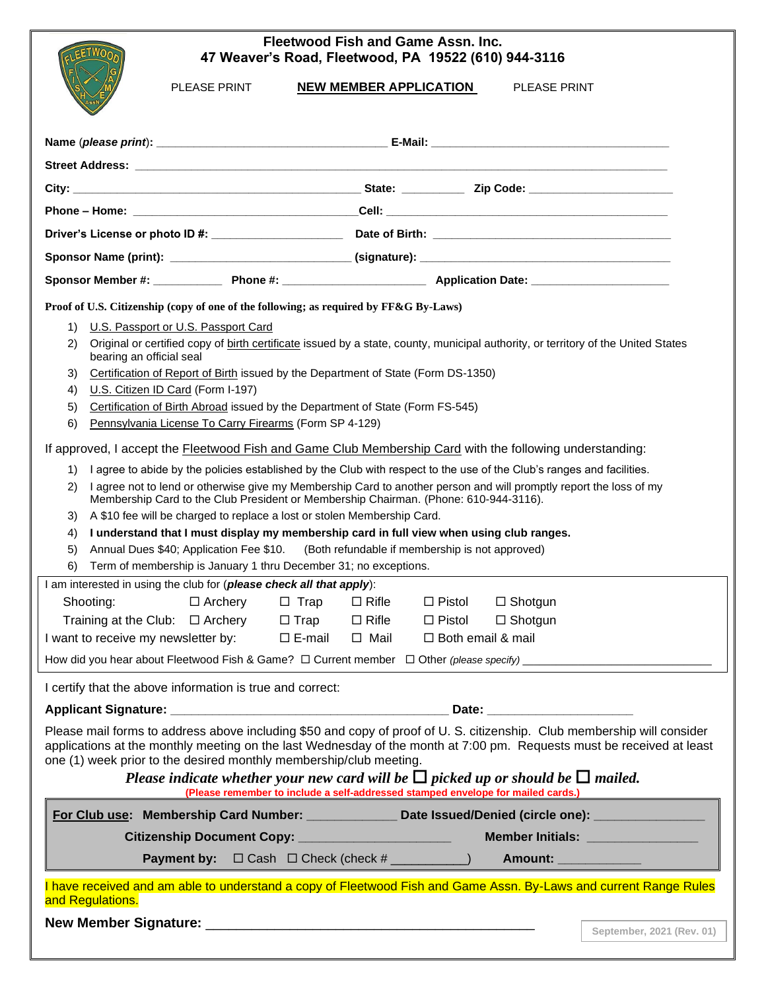## **Fleetwood Fish and Game Assn. Inc. 47 Weaver's Road, Fleetwood, PA 19522 (610) 944-3116**

PLEASE PRINT **NEW MEMBER APPLICATION** PLEASE PRINT

| Proof of U.S. Citizenship (copy of one of the following; as required by FF&G By-Laws)<br>U.S. Passport or U.S. Passport Card<br>1)<br>Original or certified copy of birth certificate issued by a state, county, municipal authority, or territory of the United States<br>2)<br>bearing an official seal<br>Certification of Report of Birth issued by the Department of State (Form DS-1350)<br>3)<br>U.S. Citizen ID Card (Form I-197)<br>4)<br>Certification of Birth Abroad issued by the Department of State (Form FS-545)<br>5)<br>Pennsylvania License To Carry Firearms (Form SP 4-129)<br>6)<br>If approved, I accept the <b>Fleetwood Fish and Game Club Membership Card</b> with the following understanding:<br>I agree to abide by the policies established by the Club with respect to the use of the Club's ranges and facilities.<br>1)<br>I agree not to lend or otherwise give my Membership Card to another person and will promptly report the loss of my<br>2)<br>Membership Card to the Club President or Membership Chairman. (Phone: 610-944-3116).<br>A \$10 fee will be charged to replace a lost or stolen Membership Card.<br>3)<br>I understand that I must display my membership card in full view when using club ranges.<br>4)<br>Annual Dues \$40; Application Fee \$10. (Both refundable if membership is not approved)<br>5)<br>Term of membership is January 1 thru December 31; no exceptions.<br>6)<br>I am interested in using the club for (please check all that apply):<br>$\Box$ Rifle<br>Shooting:<br>$\Box$ Archery<br>$\Box$ Trap<br>$\square$ Pistol<br>$\Box$ Shotgun<br>Training at the Club: $\Box$ Archery<br>$\Box$ Trap<br>$\Box$ Rifle<br>$\Box$ Shotgun<br>$\Box$ Pistol<br>I want to receive my newsletter by: $\square$ E-mail<br>$\Box$ Mail<br>$\Box$ Both email & mail<br>How did you hear about Fleetwood Fish & Game? $\Box$ Current member $\Box$ Other (please specify)<br>I certify that the above information is true and correct:<br>Date: _________________________<br>Please mail forms to address above including \$50 and copy of proof of U.S. citizenship. Club membership will consider<br>applications at the monthly meeting on the last Wednesday of the month at 7:00 pm. Requests must be received at least<br>one (1) week prior to the desired monthly membership/club meeting.<br>Please indicate whether your new card will be $\Box$ picked up or should be $\Box$ mailed.<br>(Please remember to include a self-addressed stamped envelope for mailed cards.)<br>For Club use: Membership Card Number: _____________ Date Issued/Denied (circle one): ______________<br>Member Initials: ________________<br>Citizenship Document Copy: _______________________<br>Payment by: □ Cash □ Check (check # _________) Amount: ___________<br>I have received and am able to understand a copy of Fleetwood Fish and Game Assn. By-Laws and current Range Rules<br>and Regulations. |  |  |  |  |  |
|----------------------------------------------------------------------------------------------------------------------------------------------------------------------------------------------------------------------------------------------------------------------------------------------------------------------------------------------------------------------------------------------------------------------------------------------------------------------------------------------------------------------------------------------------------------------------------------------------------------------------------------------------------------------------------------------------------------------------------------------------------------------------------------------------------------------------------------------------------------------------------------------------------------------------------------------------------------------------------------------------------------------------------------------------------------------------------------------------------------------------------------------------------------------------------------------------------------------------------------------------------------------------------------------------------------------------------------------------------------------------------------------------------------------------------------------------------------------------------------------------------------------------------------------------------------------------------------------------------------------------------------------------------------------------------------------------------------------------------------------------------------------------------------------------------------------------------------------------------------------------------------------------------------------------------------------------------------------------------------------------------------------------------------------------------------------------------------------------------------------------------------------------------------------------------------------------------------------------------------------------------------------------------------------------------------------------------------------------------------------------------------------------------------------------------------------------------------------------------------------------------------------------------------------------------------------------------------------------------------------------------------------------------------------------------------------------------------------------------------------------------------------------------------------------------------------------------------------------------------------------------------------------------------------------------------------------------------------|--|--|--|--|--|
|                                                                                                                                                                                                                                                                                                                                                                                                                                                                                                                                                                                                                                                                                                                                                                                                                                                                                                                                                                                                                                                                                                                                                                                                                                                                                                                                                                                                                                                                                                                                                                                                                                                                                                                                                                                                                                                                                                                                                                                                                                                                                                                                                                                                                                                                                                                                                                                                                                                                                                                                                                                                                                                                                                                                                                                                                                                                                                                                                                      |  |  |  |  |  |
|                                                                                                                                                                                                                                                                                                                                                                                                                                                                                                                                                                                                                                                                                                                                                                                                                                                                                                                                                                                                                                                                                                                                                                                                                                                                                                                                                                                                                                                                                                                                                                                                                                                                                                                                                                                                                                                                                                                                                                                                                                                                                                                                                                                                                                                                                                                                                                                                                                                                                                                                                                                                                                                                                                                                                                                                                                                                                                                                                                      |  |  |  |  |  |
|                                                                                                                                                                                                                                                                                                                                                                                                                                                                                                                                                                                                                                                                                                                                                                                                                                                                                                                                                                                                                                                                                                                                                                                                                                                                                                                                                                                                                                                                                                                                                                                                                                                                                                                                                                                                                                                                                                                                                                                                                                                                                                                                                                                                                                                                                                                                                                                                                                                                                                                                                                                                                                                                                                                                                                                                                                                                                                                                                                      |  |  |  |  |  |
|                                                                                                                                                                                                                                                                                                                                                                                                                                                                                                                                                                                                                                                                                                                                                                                                                                                                                                                                                                                                                                                                                                                                                                                                                                                                                                                                                                                                                                                                                                                                                                                                                                                                                                                                                                                                                                                                                                                                                                                                                                                                                                                                                                                                                                                                                                                                                                                                                                                                                                                                                                                                                                                                                                                                                                                                                                                                                                                                                                      |  |  |  |  |  |
|                                                                                                                                                                                                                                                                                                                                                                                                                                                                                                                                                                                                                                                                                                                                                                                                                                                                                                                                                                                                                                                                                                                                                                                                                                                                                                                                                                                                                                                                                                                                                                                                                                                                                                                                                                                                                                                                                                                                                                                                                                                                                                                                                                                                                                                                                                                                                                                                                                                                                                                                                                                                                                                                                                                                                                                                                                                                                                                                                                      |  |  |  |  |  |
|                                                                                                                                                                                                                                                                                                                                                                                                                                                                                                                                                                                                                                                                                                                                                                                                                                                                                                                                                                                                                                                                                                                                                                                                                                                                                                                                                                                                                                                                                                                                                                                                                                                                                                                                                                                                                                                                                                                                                                                                                                                                                                                                                                                                                                                                                                                                                                                                                                                                                                                                                                                                                                                                                                                                                                                                                                                                                                                                                                      |  |  |  |  |  |
|                                                                                                                                                                                                                                                                                                                                                                                                                                                                                                                                                                                                                                                                                                                                                                                                                                                                                                                                                                                                                                                                                                                                                                                                                                                                                                                                                                                                                                                                                                                                                                                                                                                                                                                                                                                                                                                                                                                                                                                                                                                                                                                                                                                                                                                                                                                                                                                                                                                                                                                                                                                                                                                                                                                                                                                                                                                                                                                                                                      |  |  |  |  |  |
|                                                                                                                                                                                                                                                                                                                                                                                                                                                                                                                                                                                                                                                                                                                                                                                                                                                                                                                                                                                                                                                                                                                                                                                                                                                                                                                                                                                                                                                                                                                                                                                                                                                                                                                                                                                                                                                                                                                                                                                                                                                                                                                                                                                                                                                                                                                                                                                                                                                                                                                                                                                                                                                                                                                                                                                                                                                                                                                                                                      |  |  |  |  |  |
|                                                                                                                                                                                                                                                                                                                                                                                                                                                                                                                                                                                                                                                                                                                                                                                                                                                                                                                                                                                                                                                                                                                                                                                                                                                                                                                                                                                                                                                                                                                                                                                                                                                                                                                                                                                                                                                                                                                                                                                                                                                                                                                                                                                                                                                                                                                                                                                                                                                                                                                                                                                                                                                                                                                                                                                                                                                                                                                                                                      |  |  |  |  |  |
|                                                                                                                                                                                                                                                                                                                                                                                                                                                                                                                                                                                                                                                                                                                                                                                                                                                                                                                                                                                                                                                                                                                                                                                                                                                                                                                                                                                                                                                                                                                                                                                                                                                                                                                                                                                                                                                                                                                                                                                                                                                                                                                                                                                                                                                                                                                                                                                                                                                                                                                                                                                                                                                                                                                                                                                                                                                                                                                                                                      |  |  |  |  |  |
| September, 2021 (Rev. 01)                                                                                                                                                                                                                                                                                                                                                                                                                                                                                                                                                                                                                                                                                                                                                                                                                                                                                                                                                                                                                                                                                                                                                                                                                                                                                                                                                                                                                                                                                                                                                                                                                                                                                                                                                                                                                                                                                                                                                                                                                                                                                                                                                                                                                                                                                                                                                                                                                                                                                                                                                                                                                                                                                                                                                                                                                                                                                                                                            |  |  |  |  |  |
|                                                                                                                                                                                                                                                                                                                                                                                                                                                                                                                                                                                                                                                                                                                                                                                                                                                                                                                                                                                                                                                                                                                                                                                                                                                                                                                                                                                                                                                                                                                                                                                                                                                                                                                                                                                                                                                                                                                                                                                                                                                                                                                                                                                                                                                                                                                                                                                                                                                                                                                                                                                                                                                                                                                                                                                                                                                                                                                                                                      |  |  |  |  |  |
|                                                                                                                                                                                                                                                                                                                                                                                                                                                                                                                                                                                                                                                                                                                                                                                                                                                                                                                                                                                                                                                                                                                                                                                                                                                                                                                                                                                                                                                                                                                                                                                                                                                                                                                                                                                                                                                                                                                                                                                                                                                                                                                                                                                                                                                                                                                                                                                                                                                                                                                                                                                                                                                                                                                                                                                                                                                                                                                                                                      |  |  |  |  |  |
|                                                                                                                                                                                                                                                                                                                                                                                                                                                                                                                                                                                                                                                                                                                                                                                                                                                                                                                                                                                                                                                                                                                                                                                                                                                                                                                                                                                                                                                                                                                                                                                                                                                                                                                                                                                                                                                                                                                                                                                                                                                                                                                                                                                                                                                                                                                                                                                                                                                                                                                                                                                                                                                                                                                                                                                                                                                                                                                                                                      |  |  |  |  |  |
|                                                                                                                                                                                                                                                                                                                                                                                                                                                                                                                                                                                                                                                                                                                                                                                                                                                                                                                                                                                                                                                                                                                                                                                                                                                                                                                                                                                                                                                                                                                                                                                                                                                                                                                                                                                                                                                                                                                                                                                                                                                                                                                                                                                                                                                                                                                                                                                                                                                                                                                                                                                                                                                                                                                                                                                                                                                                                                                                                                      |  |  |  |  |  |
|                                                                                                                                                                                                                                                                                                                                                                                                                                                                                                                                                                                                                                                                                                                                                                                                                                                                                                                                                                                                                                                                                                                                                                                                                                                                                                                                                                                                                                                                                                                                                                                                                                                                                                                                                                                                                                                                                                                                                                                                                                                                                                                                                                                                                                                                                                                                                                                                                                                                                                                                                                                                                                                                                                                                                                                                                                                                                                                                                                      |  |  |  |  |  |
|                                                                                                                                                                                                                                                                                                                                                                                                                                                                                                                                                                                                                                                                                                                                                                                                                                                                                                                                                                                                                                                                                                                                                                                                                                                                                                                                                                                                                                                                                                                                                                                                                                                                                                                                                                                                                                                                                                                                                                                                                                                                                                                                                                                                                                                                                                                                                                                                                                                                                                                                                                                                                                                                                                                                                                                                                                                                                                                                                                      |  |  |  |  |  |
|                                                                                                                                                                                                                                                                                                                                                                                                                                                                                                                                                                                                                                                                                                                                                                                                                                                                                                                                                                                                                                                                                                                                                                                                                                                                                                                                                                                                                                                                                                                                                                                                                                                                                                                                                                                                                                                                                                                                                                                                                                                                                                                                                                                                                                                                                                                                                                                                                                                                                                                                                                                                                                                                                                                                                                                                                                                                                                                                                                      |  |  |  |  |  |
|                                                                                                                                                                                                                                                                                                                                                                                                                                                                                                                                                                                                                                                                                                                                                                                                                                                                                                                                                                                                                                                                                                                                                                                                                                                                                                                                                                                                                                                                                                                                                                                                                                                                                                                                                                                                                                                                                                                                                                                                                                                                                                                                                                                                                                                                                                                                                                                                                                                                                                                                                                                                                                                                                                                                                                                                                                                                                                                                                                      |  |  |  |  |  |
|                                                                                                                                                                                                                                                                                                                                                                                                                                                                                                                                                                                                                                                                                                                                                                                                                                                                                                                                                                                                                                                                                                                                                                                                                                                                                                                                                                                                                                                                                                                                                                                                                                                                                                                                                                                                                                                                                                                                                                                                                                                                                                                                                                                                                                                                                                                                                                                                                                                                                                                                                                                                                                                                                                                                                                                                                                                                                                                                                                      |  |  |  |  |  |
|                                                                                                                                                                                                                                                                                                                                                                                                                                                                                                                                                                                                                                                                                                                                                                                                                                                                                                                                                                                                                                                                                                                                                                                                                                                                                                                                                                                                                                                                                                                                                                                                                                                                                                                                                                                                                                                                                                                                                                                                                                                                                                                                                                                                                                                                                                                                                                                                                                                                                                                                                                                                                                                                                                                                                                                                                                                                                                                                                                      |  |  |  |  |  |
|                                                                                                                                                                                                                                                                                                                                                                                                                                                                                                                                                                                                                                                                                                                                                                                                                                                                                                                                                                                                                                                                                                                                                                                                                                                                                                                                                                                                                                                                                                                                                                                                                                                                                                                                                                                                                                                                                                                                                                                                                                                                                                                                                                                                                                                                                                                                                                                                                                                                                                                                                                                                                                                                                                                                                                                                                                                                                                                                                                      |  |  |  |  |  |
|                                                                                                                                                                                                                                                                                                                                                                                                                                                                                                                                                                                                                                                                                                                                                                                                                                                                                                                                                                                                                                                                                                                                                                                                                                                                                                                                                                                                                                                                                                                                                                                                                                                                                                                                                                                                                                                                                                                                                                                                                                                                                                                                                                                                                                                                                                                                                                                                                                                                                                                                                                                                                                                                                                                                                                                                                                                                                                                                                                      |  |  |  |  |  |
|                                                                                                                                                                                                                                                                                                                                                                                                                                                                                                                                                                                                                                                                                                                                                                                                                                                                                                                                                                                                                                                                                                                                                                                                                                                                                                                                                                                                                                                                                                                                                                                                                                                                                                                                                                                                                                                                                                                                                                                                                                                                                                                                                                                                                                                                                                                                                                                                                                                                                                                                                                                                                                                                                                                                                                                                                                                                                                                                                                      |  |  |  |  |  |
|                                                                                                                                                                                                                                                                                                                                                                                                                                                                                                                                                                                                                                                                                                                                                                                                                                                                                                                                                                                                                                                                                                                                                                                                                                                                                                                                                                                                                                                                                                                                                                                                                                                                                                                                                                                                                                                                                                                                                                                                                                                                                                                                                                                                                                                                                                                                                                                                                                                                                                                                                                                                                                                                                                                                                                                                                                                                                                                                                                      |  |  |  |  |  |
|                                                                                                                                                                                                                                                                                                                                                                                                                                                                                                                                                                                                                                                                                                                                                                                                                                                                                                                                                                                                                                                                                                                                                                                                                                                                                                                                                                                                                                                                                                                                                                                                                                                                                                                                                                                                                                                                                                                                                                                                                                                                                                                                                                                                                                                                                                                                                                                                                                                                                                                                                                                                                                                                                                                                                                                                                                                                                                                                                                      |  |  |  |  |  |
|                                                                                                                                                                                                                                                                                                                                                                                                                                                                                                                                                                                                                                                                                                                                                                                                                                                                                                                                                                                                                                                                                                                                                                                                                                                                                                                                                                                                                                                                                                                                                                                                                                                                                                                                                                                                                                                                                                                                                                                                                                                                                                                                                                                                                                                                                                                                                                                                                                                                                                                                                                                                                                                                                                                                                                                                                                                                                                                                                                      |  |  |  |  |  |
|                                                                                                                                                                                                                                                                                                                                                                                                                                                                                                                                                                                                                                                                                                                                                                                                                                                                                                                                                                                                                                                                                                                                                                                                                                                                                                                                                                                                                                                                                                                                                                                                                                                                                                                                                                                                                                                                                                                                                                                                                                                                                                                                                                                                                                                                                                                                                                                                                                                                                                                                                                                                                                                                                                                                                                                                                                                                                                                                                                      |  |  |  |  |  |
|                                                                                                                                                                                                                                                                                                                                                                                                                                                                                                                                                                                                                                                                                                                                                                                                                                                                                                                                                                                                                                                                                                                                                                                                                                                                                                                                                                                                                                                                                                                                                                                                                                                                                                                                                                                                                                                                                                                                                                                                                                                                                                                                                                                                                                                                                                                                                                                                                                                                                                                                                                                                                                                                                                                                                                                                                                                                                                                                                                      |  |  |  |  |  |
|                                                                                                                                                                                                                                                                                                                                                                                                                                                                                                                                                                                                                                                                                                                                                                                                                                                                                                                                                                                                                                                                                                                                                                                                                                                                                                                                                                                                                                                                                                                                                                                                                                                                                                                                                                                                                                                                                                                                                                                                                                                                                                                                                                                                                                                                                                                                                                                                                                                                                                                                                                                                                                                                                                                                                                                                                                                                                                                                                                      |  |  |  |  |  |
|                                                                                                                                                                                                                                                                                                                                                                                                                                                                                                                                                                                                                                                                                                                                                                                                                                                                                                                                                                                                                                                                                                                                                                                                                                                                                                                                                                                                                                                                                                                                                                                                                                                                                                                                                                                                                                                                                                                                                                                                                                                                                                                                                                                                                                                                                                                                                                                                                                                                                                                                                                                                                                                                                                                                                                                                                                                                                                                                                                      |  |  |  |  |  |
|                                                                                                                                                                                                                                                                                                                                                                                                                                                                                                                                                                                                                                                                                                                                                                                                                                                                                                                                                                                                                                                                                                                                                                                                                                                                                                                                                                                                                                                                                                                                                                                                                                                                                                                                                                                                                                                                                                                                                                                                                                                                                                                                                                                                                                                                                                                                                                                                                                                                                                                                                                                                                                                                                                                                                                                                                                                                                                                                                                      |  |  |  |  |  |
|                                                                                                                                                                                                                                                                                                                                                                                                                                                                                                                                                                                                                                                                                                                                                                                                                                                                                                                                                                                                                                                                                                                                                                                                                                                                                                                                                                                                                                                                                                                                                                                                                                                                                                                                                                                                                                                                                                                                                                                                                                                                                                                                                                                                                                                                                                                                                                                                                                                                                                                                                                                                                                                                                                                                                                                                                                                                                                                                                                      |  |  |  |  |  |
|                                                                                                                                                                                                                                                                                                                                                                                                                                                                                                                                                                                                                                                                                                                                                                                                                                                                                                                                                                                                                                                                                                                                                                                                                                                                                                                                                                                                                                                                                                                                                                                                                                                                                                                                                                                                                                                                                                                                                                                                                                                                                                                                                                                                                                                                                                                                                                                                                                                                                                                                                                                                                                                                                                                                                                                                                                                                                                                                                                      |  |  |  |  |  |
|                                                                                                                                                                                                                                                                                                                                                                                                                                                                                                                                                                                                                                                                                                                                                                                                                                                                                                                                                                                                                                                                                                                                                                                                                                                                                                                                                                                                                                                                                                                                                                                                                                                                                                                                                                                                                                                                                                                                                                                                                                                                                                                                                                                                                                                                                                                                                                                                                                                                                                                                                                                                                                                                                                                                                                                                                                                                                                                                                                      |  |  |  |  |  |
|                                                                                                                                                                                                                                                                                                                                                                                                                                                                                                                                                                                                                                                                                                                                                                                                                                                                                                                                                                                                                                                                                                                                                                                                                                                                                                                                                                                                                                                                                                                                                                                                                                                                                                                                                                                                                                                                                                                                                                                                                                                                                                                                                                                                                                                                                                                                                                                                                                                                                                                                                                                                                                                                                                                                                                                                                                                                                                                                                                      |  |  |  |  |  |